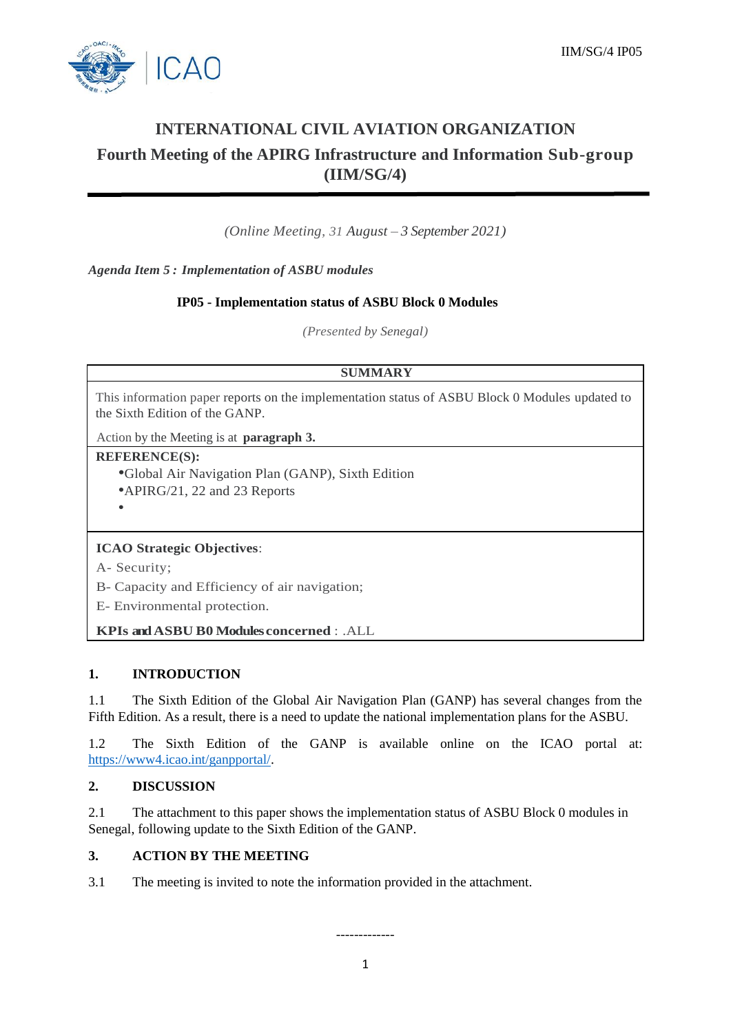

# **INTERNATIONAL CIVIL AVIATION ORGANIZATION Fourth Meeting of the APIRG Infrastructure and Information Sub-group (IIM/SG/4)**

*(Online Meeting, 31 August – 3 September 2021)*

*Agenda Item 5 : Implementation of ASBU modules*

### **IP05 - Implementation status of ASBU Block 0 Modules**

*(Presented by Senegal)*

#### **SUMMARY**

This information paper reports on the implementation status of ASBU Block 0 Modules updated to the Sixth Edition of the GANP.

Action by the Meeting is at **paragraph 3.**

#### **REFERENCE(S):**

•Global Air Navigation Plan (GANP), Sixth Edition •APIRG/21, 22 and 23 Reports •

# **ICAO Strategic Objectives**:

A- Security;

B- Capacity and Efficiency of air navigation;

E- Environmental protection.

## **KPIs andASBU B0 Modules concerned** : .ALL

#### **1. INTRODUCTION**

1.1 The Sixth Edition of the Global Air Navigation Plan (GANP) has several changes from the Fifth Edition. As a result, there is a need to update the national implementation plans for the ASBU.

1.2 The Sixth Edition of the GANP is available online on the ICAO portal at: [https://www4.icao.int/ganpportal/.](https://www4.icao.int/ganpportal/)

#### **2. DISCUSSION**

2.1 The attachment to this paper shows the implementation status of ASBU Block 0 modules in Senegal, following update to the Sixth Edition of the GANP.

# **3. ACTION BY THE MEETING**

3.1 The meeting is invited to note the information provided in the attachment.

-------------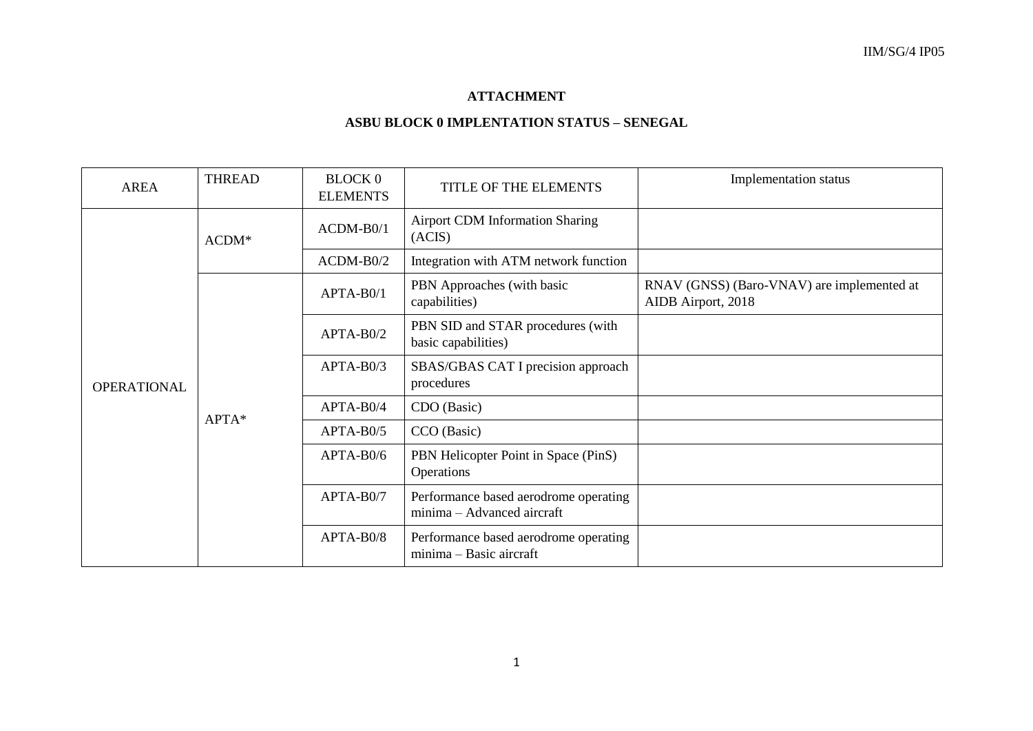# **ATTACHMENT**

# **ASBU BLOCK 0 IMPLENTATION STATUS – SENEGAL**

| <b>AREA</b>        | <b>THREAD</b> | <b>BLOCK 0</b><br><b>ELEMENTS</b> | TITLE OF THE ELEMENTS                                               | Implementation status                                            |
|--------------------|---------------|-----------------------------------|---------------------------------------------------------------------|------------------------------------------------------------------|
|                    | $ACDM*$       | $ACDM-B0/1$                       | <b>Airport CDM Information Sharing</b><br>(ACIS)                    |                                                                  |
|                    |               | $ACDM-B0/2$                       | Integration with ATM network function                               |                                                                  |
| <b>OPERATIONAL</b> | APTA*         | $APTA-B0/1$                       | PBN Approaches (with basic<br>capabilities)                         | RNAV (GNSS) (Baro-VNAV) are implemented at<br>AIDB Airport, 2018 |
|                    |               | $APTA-B0/2$                       | PBN SID and STAR procedures (with<br>basic capabilities)            |                                                                  |
|                    |               | $APTA-B0/3$                       | SBAS/GBAS CAT I precision approach<br>procedures                    |                                                                  |
|                    |               | APTA-B0/4                         | CDO (Basic)                                                         |                                                                  |
|                    |               | $APTA-B0/5$                       | CCO (Basic)                                                         |                                                                  |
|                    |               | $APTA-B0/6$                       | PBN Helicopter Point in Space (PinS)<br>Operations                  |                                                                  |
|                    |               | APTA-B0/7                         | Performance based aerodrome operating<br>minima - Advanced aircraft |                                                                  |
|                    |               | APTA-B0/8                         | Performance based aerodrome operating<br>minima - Basic aircraft    |                                                                  |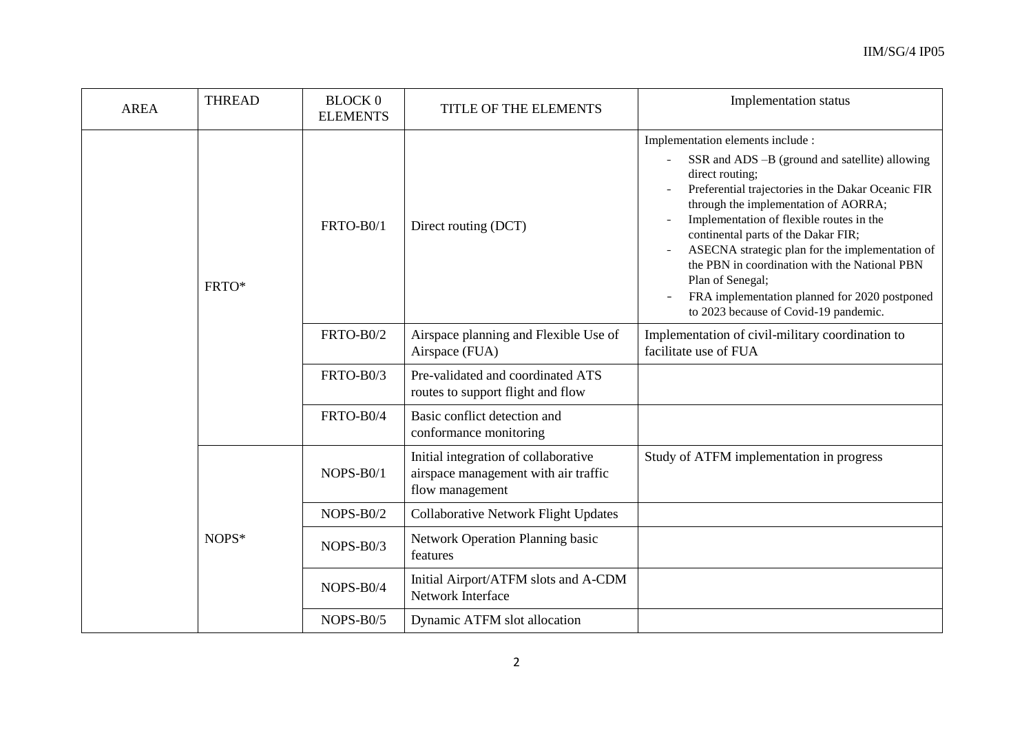| <b>AREA</b> | <b>THREAD</b> | <b>BLOCK 0</b><br><b>ELEMENTS</b> | TITLE OF THE ELEMENTS                                                                           | Implementation status                                                                                                                                                                                                                                                                                                                                                                                                                                                                                     |
|-------------|---------------|-----------------------------------|-------------------------------------------------------------------------------------------------|-----------------------------------------------------------------------------------------------------------------------------------------------------------------------------------------------------------------------------------------------------------------------------------------------------------------------------------------------------------------------------------------------------------------------------------------------------------------------------------------------------------|
|             | FRTO*         | FRTO-B0/1                         | Direct routing (DCT)                                                                            | Implementation elements include :<br>SSR and ADS -B (ground and satellite) allowing<br>direct routing;<br>Preferential trajectories in the Dakar Oceanic FIR<br>through the implementation of AORRA;<br>Implementation of flexible routes in the<br>continental parts of the Dakar FIR;<br>ASECNA strategic plan for the implementation of<br>the PBN in coordination with the National PBN<br>Plan of Senegal;<br>FRA implementation planned for 2020 postponed<br>to 2023 because of Covid-19 pandemic. |
|             |               | FRTO-B0/2                         | Airspace planning and Flexible Use of<br>Airspace (FUA)                                         | Implementation of civil-military coordination to<br>facilitate use of FUA                                                                                                                                                                                                                                                                                                                                                                                                                                 |
|             |               | FRTO-B0/3                         | Pre-validated and coordinated ATS<br>routes to support flight and flow                          |                                                                                                                                                                                                                                                                                                                                                                                                                                                                                                           |
| NOPS*       |               | FRTO-B0/4                         | Basic conflict detection and<br>conformance monitoring                                          |                                                                                                                                                                                                                                                                                                                                                                                                                                                                                                           |
|             |               | NOPS-B0/1                         | Initial integration of collaborative<br>airspace management with air traffic<br>flow management | Study of ATFM implementation in progress                                                                                                                                                                                                                                                                                                                                                                                                                                                                  |
|             |               | $NOPS-B0/2$                       | <b>Collaborative Network Flight Updates</b>                                                     |                                                                                                                                                                                                                                                                                                                                                                                                                                                                                                           |
|             |               | $NOPS-B0/3$                       | <b>Network Operation Planning basic</b><br>features                                             |                                                                                                                                                                                                                                                                                                                                                                                                                                                                                                           |
|             |               | NOPS-B0/4                         | Initial Airport/ATFM slots and A-CDM<br>Network Interface                                       |                                                                                                                                                                                                                                                                                                                                                                                                                                                                                                           |
|             |               | NOPS-B0/5                         | Dynamic ATFM slot allocation                                                                    |                                                                                                                                                                                                                                                                                                                                                                                                                                                                                                           |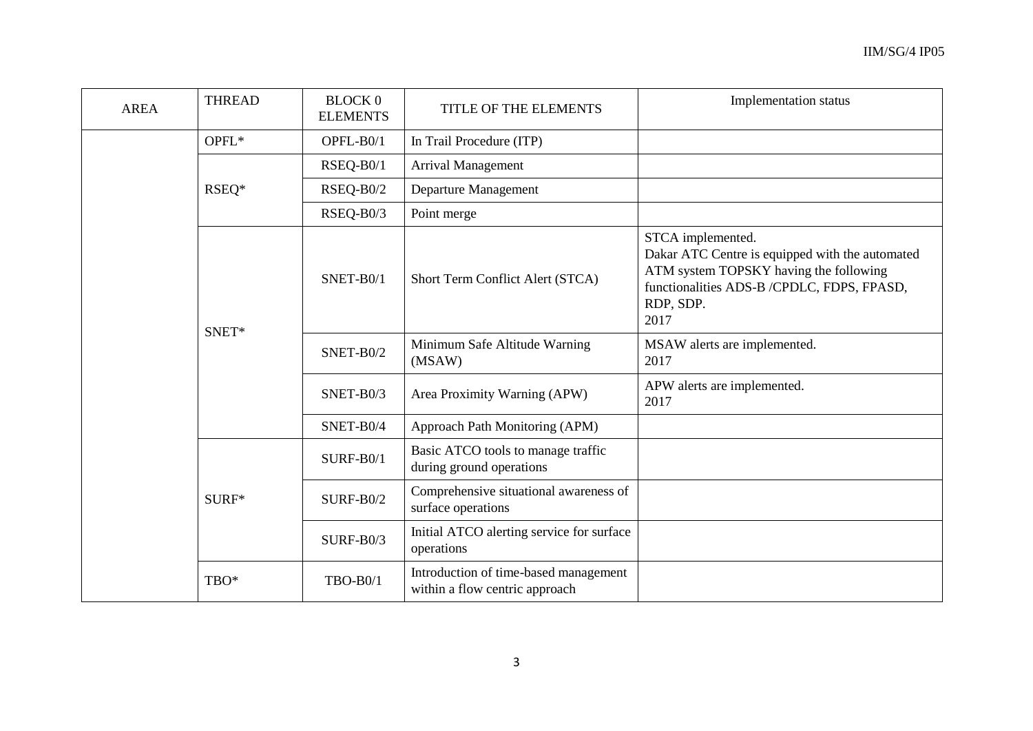| <b>AREA</b> | <b>THREAD</b> | <b>BLOCK 0</b><br><b>ELEMENTS</b> | TITLE OF THE ELEMENTS                                                   | Implementation status                                                                                                                                                             |
|-------------|---------------|-----------------------------------|-------------------------------------------------------------------------|-----------------------------------------------------------------------------------------------------------------------------------------------------------------------------------|
|             | OPFL*         | OPFL-B0/1                         | In Trail Procedure (ITP)                                                |                                                                                                                                                                                   |
|             |               | RSEQ-B0/1                         | Arrival Management                                                      |                                                                                                                                                                                   |
|             | RSEQ*         | RSEQ-B0/2                         | Departure Management                                                    |                                                                                                                                                                                   |
|             |               | RSEQ-B0/3                         | Point merge                                                             |                                                                                                                                                                                   |
|             | SNET*         | SNET-B0/1                         | Short Term Conflict Alert (STCA)                                        | STCA implemented.<br>Dakar ATC Centre is equipped with the automated<br>ATM system TOPSKY having the following<br>functionalities ADS-B /CPDLC, FDPS, FPASD,<br>RDP, SDP.<br>2017 |
|             |               | SNET-B0/2                         | Minimum Safe Altitude Warning<br>(MSAW)                                 | MSAW alerts are implemented.<br>2017                                                                                                                                              |
|             |               | SNET-B0/3                         | Area Proximity Warning (APW)                                            | APW alerts are implemented.<br>2017                                                                                                                                               |
|             |               | SNET-B0/4                         | Approach Path Monitoring (APM)                                          |                                                                                                                                                                                   |
|             | SURF*         | $SURF-B0/1$                       | Basic ATCO tools to manage traffic<br>during ground operations          |                                                                                                                                                                                   |
|             |               | $SURF-B0/2$                       | Comprehensive situational awareness of<br>surface operations            |                                                                                                                                                                                   |
|             |               | $SURF-B0/3$                       | Initial ATCO alerting service for surface<br>operations                 |                                                                                                                                                                                   |
|             | TBO*          | <b>TBO-B0/1</b>                   | Introduction of time-based management<br>within a flow centric approach |                                                                                                                                                                                   |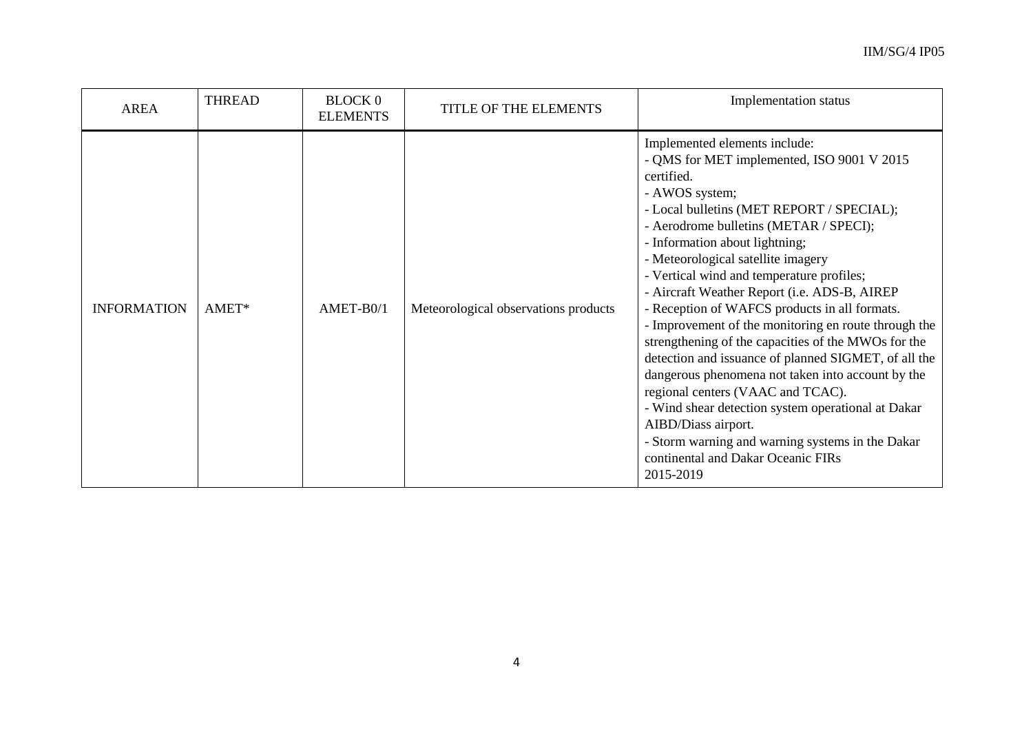| <b>AREA</b>        | <b>THREAD</b> | <b>BLOCK 0</b><br><b>ELEMENTS</b> | TITLE OF THE ELEMENTS                | Implementation status                                                                                                                                                                                                                                                                                                                                                                                                                                                                                                                                                                                                                                                                                                                                                                                                                                                         |
|--------------------|---------------|-----------------------------------|--------------------------------------|-------------------------------------------------------------------------------------------------------------------------------------------------------------------------------------------------------------------------------------------------------------------------------------------------------------------------------------------------------------------------------------------------------------------------------------------------------------------------------------------------------------------------------------------------------------------------------------------------------------------------------------------------------------------------------------------------------------------------------------------------------------------------------------------------------------------------------------------------------------------------------|
| <b>INFORMATION</b> | AMET*         | AMET-B0/1                         | Meteorological observations products | Implemented elements include:<br>- QMS for MET implemented, ISO 9001 V 2015<br>certified.<br>- AWOS system;<br>- Local bulletins (MET REPORT / SPECIAL);<br>- Aerodrome bulletins (METAR / SPECI);<br>- Information about lightning;<br>- Meteorological satellite imagery<br>- Vertical wind and temperature profiles;<br>- Aircraft Weather Report (i.e. ADS-B, AIREP<br>- Reception of WAFCS products in all formats.<br>- Improvement of the monitoring en route through the<br>strengthening of the capacities of the MWOs for the<br>detection and issuance of planned SIGMET, of all the<br>dangerous phenomena not taken into account by the<br>regional centers (VAAC and TCAC).<br>- Wind shear detection system operational at Dakar<br>AIBD/Diass airport.<br>- Storm warning and warning systems in the Dakar<br>continental and Dakar Oceanic FIRs<br>2015-2019 |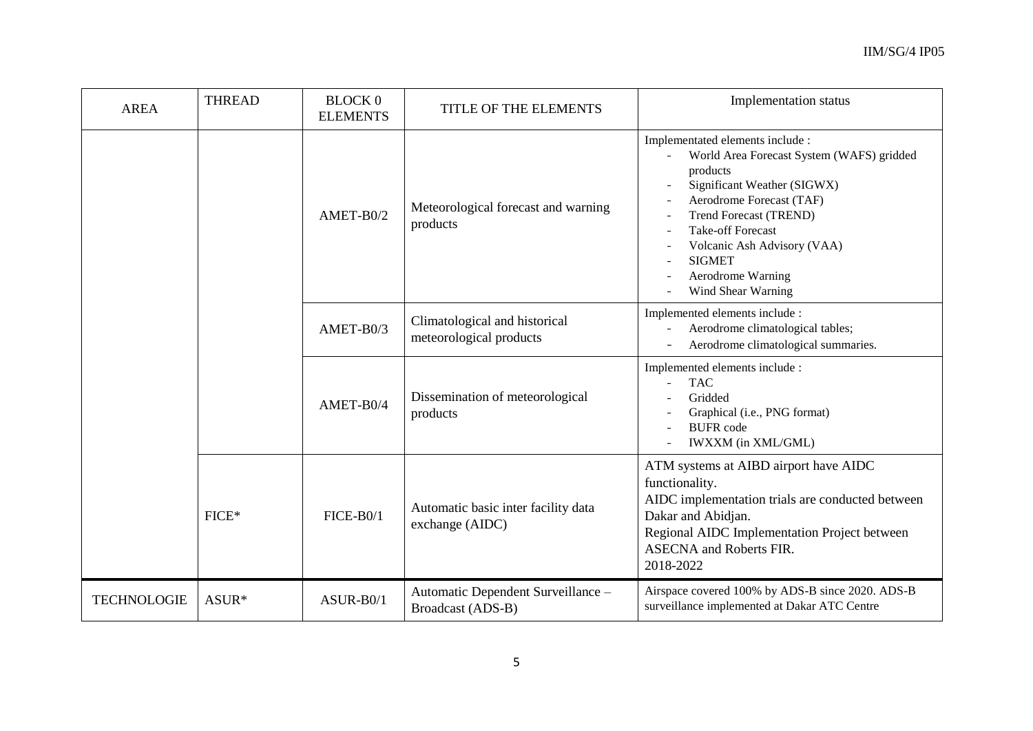| <b>AREA</b>        | <b>THREAD</b> | <b>BLOCK 0</b><br><b>ELEMENTS</b> | TITLE OF THE ELEMENTS                                    | Implementation status                                                                                                                                                                                                                                                                                        |
|--------------------|---------------|-----------------------------------|----------------------------------------------------------|--------------------------------------------------------------------------------------------------------------------------------------------------------------------------------------------------------------------------------------------------------------------------------------------------------------|
|                    |               | AMET-B0/2                         | Meteorological forecast and warning<br>products          | Implementated elements include :<br>World Area Forecast System (WAFS) gridded<br>products<br>Significant Weather (SIGWX)<br>Aerodrome Forecast (TAF)<br><b>Trend Forecast (TREND)</b><br><b>Take-off Forecast</b><br>Volcanic Ash Advisory (VAA)<br><b>SIGMET</b><br>Aerodrome Warning<br>Wind Shear Warning |
|                    |               | AMET-B0/3                         | Climatological and historical<br>meteorological products | Implemented elements include :<br>Aerodrome climatological tables;<br>Aerodrome climatological summaries.                                                                                                                                                                                                    |
|                    |               | AMET-B0/4                         | Dissemination of meteorological<br>products              | Implemented elements include :<br><b>TAC</b><br>Gridded<br>Graphical (i.e., PNG format)<br><b>BUFR</b> code<br>IWXXM (in XML/GML)                                                                                                                                                                            |
|                    | FICE*         | $FICE-B0/1$                       | Automatic basic inter facility data<br>exchange (AIDC)   | ATM systems at AIBD airport have AIDC<br>functionality.<br>AIDC implementation trials are conducted between<br>Dakar and Abidjan.<br>Regional AIDC Implementation Project between<br><b>ASECNA</b> and Roberts FIR.<br>2018-2022                                                                             |
| <b>TECHNOLOGIE</b> | ASUR*         | ASUR-B0/1                         | Automatic Dependent Surveillance -<br>Broadcast (ADS-B)  | Airspace covered 100% by ADS-B since 2020. ADS-B<br>surveillance implemented at Dakar ATC Centre                                                                                                                                                                                                             |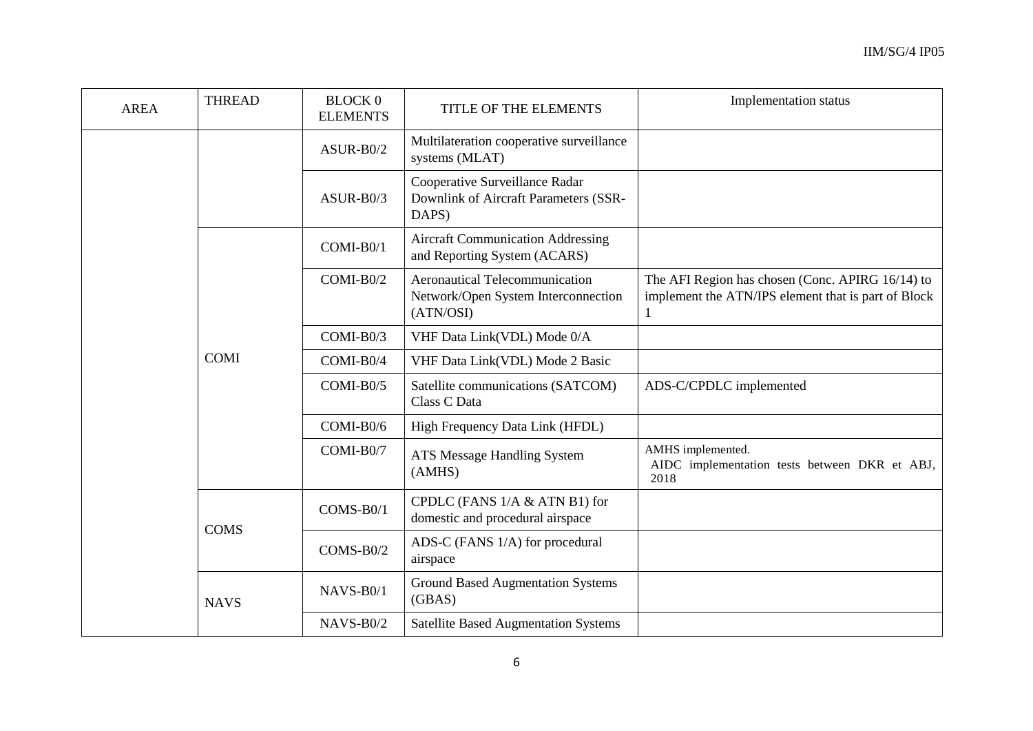| <b>AREA</b> | <b>THREAD</b> | <b>BLOCK 0</b><br><b>ELEMENTS</b> | TITLE OF THE ELEMENTS                                                                     | Implementation status                                                                                        |
|-------------|---------------|-----------------------------------|-------------------------------------------------------------------------------------------|--------------------------------------------------------------------------------------------------------------|
|             |               | $ASUR-B0/2$                       | Multilateration cooperative surveillance<br>systems (MLAT)                                |                                                                                                              |
|             |               | $ASUR-B0/3$                       | Cooperative Surveillance Radar<br>Downlink of Aircraft Parameters (SSR-<br>DAPS)          |                                                                                                              |
|             | <b>COMI</b>   | COMI-B0/1                         | <b>Aircraft Communication Addressing</b><br>and Reporting System (ACARS)                  |                                                                                                              |
|             |               | COMI-B0/2                         | <b>Aeronautical Telecommunication</b><br>Network/Open System Interconnection<br>(ATN/OSI) | The AFI Region has chosen (Conc. APIRG 16/14) to<br>implement the ATN/IPS element that is part of Block<br>1 |
|             |               | $COMI-B0/3$                       | VHF Data Link(VDL) Mode 0/A                                                               |                                                                                                              |
|             |               | COMI-B0/4                         | VHF Data Link(VDL) Mode 2 Basic                                                           |                                                                                                              |
|             |               | $COMI-B0/5$                       | Satellite communications (SATCOM)<br>Class C Data                                         | ADS-C/CPDLC implemented                                                                                      |
|             |               | COMI-B0/6                         | High Frequency Data Link (HFDL)                                                           |                                                                                                              |
|             |               | COMI-B0/7                         | ATS Message Handling System<br>(AMHS)                                                     | AMHS implemented.<br>AIDC implementation tests between DKR et ABJ,<br>2018                                   |
|             | <b>COMS</b>   | $COMS-B0/1$                       | CPDLC (FANS 1/A & ATN B1) for<br>domestic and procedural airspace                         |                                                                                                              |
|             |               | $COMS-B0/2$                       | ADS-C (FANS 1/A) for procedural<br>airspace                                               |                                                                                                              |
|             | <b>NAVS</b>   | NAVS-B0/1                         | <b>Ground Based Augmentation Systems</b><br>(GBAS)                                        |                                                                                                              |
|             |               | NAVS-B0/2                         | <b>Satellite Based Augmentation Systems</b>                                               |                                                                                                              |